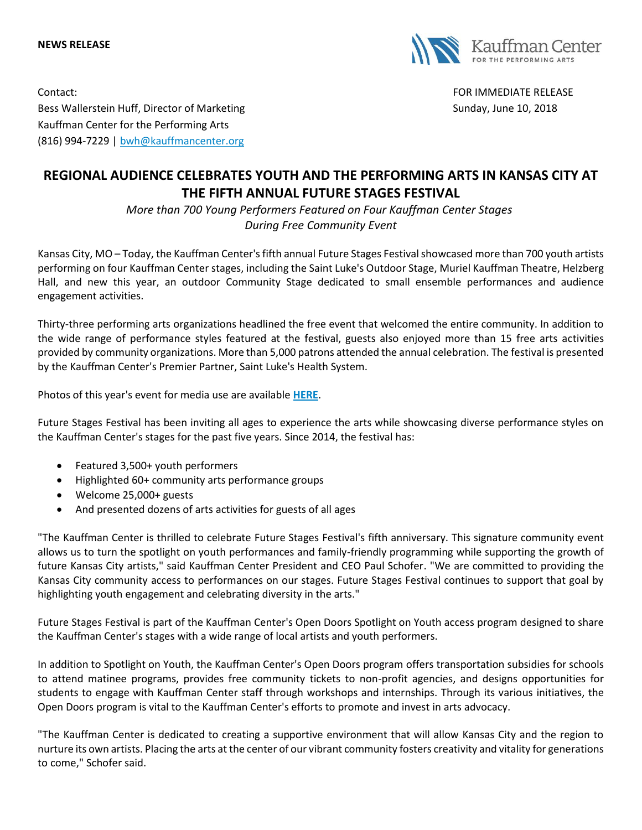**NEWS RELEASE**



Contact: FOR IMMEDIATE RELEASE

Bess Wallerstein Huff, Director of Marketing Sunday, June 10, 2018 Kauffman Center for the Performing Arts (816) 994-7229 | [bwh@kauffmancenter.org](mailto:bwh@kauffmancenter.org)

# **REGIONAL AUDIENCE CELEBRATES YOUTH AND THE PERFORMING ARTS IN KANSAS CITY AT THE FIFTH ANNUAL FUTURE STAGES FESTIVAL**

*More than 700 Young Performers Featured on Four Kauffman Center Stages During Free Community Event*

Kansas City, MO – Today, the Kauffman Center's fifth annual Future Stages Festival showcased more than 700 youth artists performing on four Kauffman Center stages, including the Saint Luke's Outdoor Stage, Muriel Kauffman Theatre, Helzberg Hall, and new this year, an outdoor Community Stage dedicated to small ensemble performances and audience engagement activities.

Thirty-three performing arts organizations headlined the free event that welcomed the entire community. In addition to the wide range of performance styles featured at the festival, guests also enjoyed more than 15 free arts activities provided by community organizations. More than 5,000 patrons attended the annual celebration. The festival is presented by the Kauffman Center's Premier Partner, Saint Luke's Health System.

Photos of this year's event for media use are available **[HERE](https://www.flickr.com/photos/kauffmancenter/albums/72157696151408061)**.

Future Stages Festival has been inviting all ages to experience the arts while showcasing diverse performance styles on the Kauffman Center's stages for the past five years. Since 2014, the festival has:

- Featured 3,500+ youth performers
- Highlighted 60+ community arts performance groups
- Welcome 25,000+ guests
- And presented dozens of arts activities for guests of all ages

"The Kauffman Center is thrilled to celebrate Future Stages Festival's fifth anniversary. This signature community event allows us to turn the spotlight on youth performances and family-friendly programming while supporting the growth of future Kansas City artists," said Kauffman Center President and CEO Paul Schofer. "We are committed to providing the Kansas City community access to performances on our stages. Future Stages Festival continues to support that goal by highlighting youth engagement and celebrating diversity in the arts."

Future Stages Festival is part of the Kauffman Center's Open Doors Spotlight on Youth access program designed to share the Kauffman Center's stages with a wide range of local artists and youth performers.

In addition to Spotlight on Youth, the Kauffman Center's Open Doors program offers transportation subsidies for schools to attend matinee programs, provides free community tickets to non-profit agencies, and designs opportunities for students to engage with Kauffman Center staff through workshops and internships. Through its various initiatives, the Open Doors program is vital to the Kauffman Center's efforts to promote and invest in arts advocacy.

"The Kauffman Center is dedicated to creating a supportive environment that will allow Kansas City and the region to nurture its own artists. Placing the arts at the center of our vibrant community fosters creativity and vitality for generations to come," Schofer said.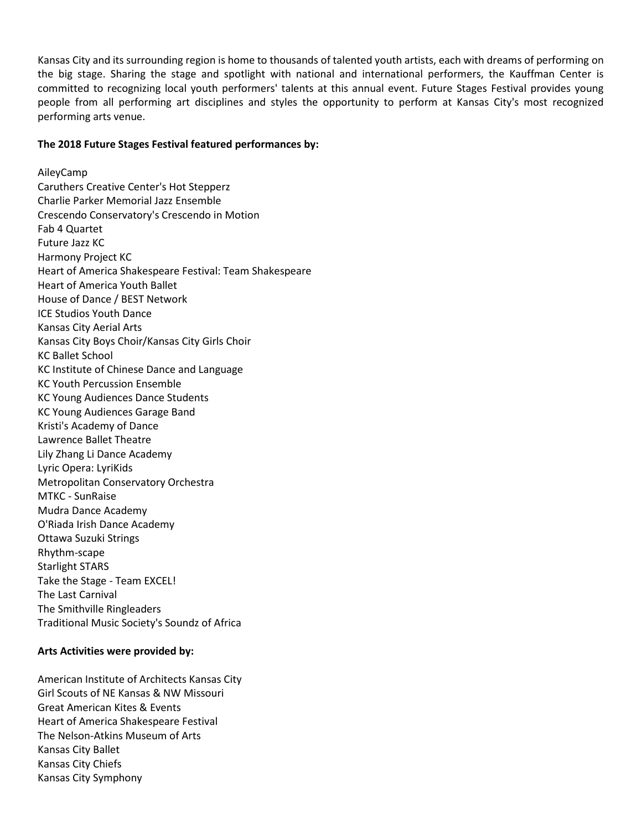Kansas City and its surrounding region is home to thousands of talented youth artists, each with dreams of performing on the big stage. Sharing the stage and spotlight with national and international performers, the Kauffman Center is committed to recognizing local youth performers' talents at this annual event. Future Stages Festival provides young people from all performing art disciplines and styles the opportunity to perform at Kansas City's most recognized performing arts venue.

## **The 2018 Future Stages Festival featured performances by:**

AileyCamp Caruthers Creative Center's Hot Stepperz Charlie Parker Memorial Jazz Ensemble Crescendo Conservatory's Crescendo in Motion Fab 4 Quartet Future Jazz KC Harmony Project KC Heart of America Shakespeare Festival: Team Shakespeare Heart of America Youth Ballet House of Dance / BEST Network ICE Studios Youth Dance Kansas City Aerial Arts Kansas City Boys Choir/Kansas City Girls Choir KC Ballet School KC Institute of Chinese Dance and Language KC Youth Percussion Ensemble KC Young Audiences Dance Students KC Young Audiences Garage Band Kristi's Academy of Dance Lawrence Ballet Theatre Lily Zhang Li Dance Academy Lyric Opera: LyriKids Metropolitan Conservatory Orchestra MTKC - SunRaise Mudra Dance Academy O'Riada Irish Dance Academy Ottawa Suzuki Strings Rhythm-scape Starlight STARS Take the Stage - Team EXCEL! The Last Carnival The Smithville Ringleaders Traditional Music Society's Soundz of Africa

#### **Arts Activities were provided by:**

American Institute of Architects Kansas City Girl Scouts of NE Kansas & NW Missouri Great American Kites & Events Heart of America Shakespeare Festival The Nelson-Atkins Museum of Arts Kansas City Ballet Kansas City Chiefs Kansas City Symphony